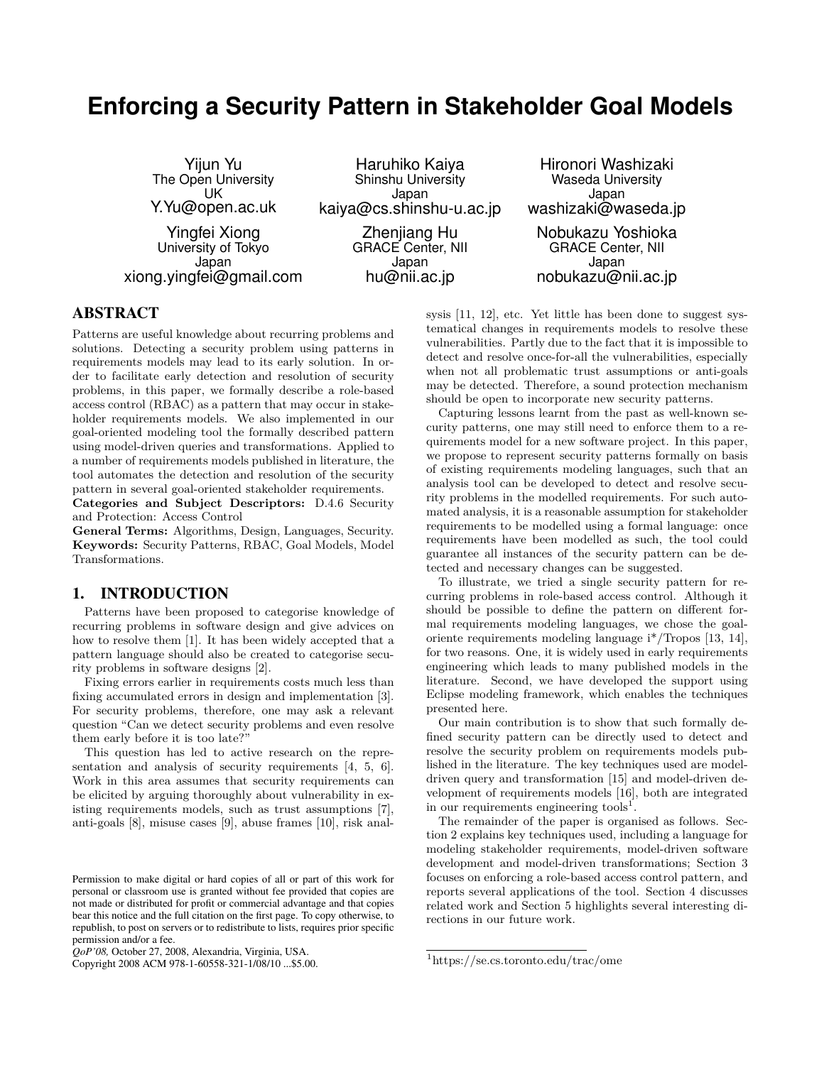# **Enforcing a Security Pattern in Stakeholder Goal Models**

Yijun Yu The Open University UK Y.Yu@open.ac.uk Yingfei Xiong University of Tokyo Japan xiong.yingfei@gmail.com

Haruhiko Kaiya Shinshu University Japan kaiya@cs.shinshu-u.ac.jp Zheniiang Hu GRACE Center, NII Japan hu@nii.ac.jp

Hironori Washizaki Waseda University Japan washizaki@waseda.jp Nobukazu Yoshioka GRACE Center, NII Japan nobukazu@nii.ac.jp

# ABSTRACT

Patterns are useful knowledge about recurring problems and solutions. Detecting a security problem using patterns in requirements models may lead to its early solution. In order to facilitate early detection and resolution of security problems, in this paper, we formally describe a role-based access control (RBAC) as a pattern that may occur in stakeholder requirements models. We also implemented in our goal-oriented modeling tool the formally described pattern using model-driven queries and transformations. Applied to a number of requirements models published in literature, the tool automates the detection and resolution of the security pattern in several goal-oriented stakeholder requirements.

**Categories and Subject Descriptors:** D.4.6 Security and Protection: Access Control

**General Terms:** Algorithms, Design, Languages, Security. **Keywords:** Security Patterns, RBAC, Goal Models, Model Transformations.

# 1. INTRODUCTION

Patterns have been proposed to categorise knowledge of recurring problems in software design and give advices on how to resolve them [1]. It has been widely accepted that a pattern language should also be created to categorise security problems in software designs [2].

Fixing errors earlier in requirements costs much less than fixing accumulated errors in design and implementation [3]. For security problems, therefore, one may ask a relevant question "Can we detect security problems and even resolve them early before it is too late?"

This question has led to active research on the representation and analysis of security requirements [4, 5, 6]. Work in this area assumes that security requirements can be elicited by arguing thoroughly about vulnerability in existing requirements models, such as trust assumptions [7], anti-goals [8], misuse cases [9], abuse frames [10], risk anal-

Copyright 2008 ACM 978-1-60558-321-1/08/10 ...\$5.00.

sysis [11, 12], etc. Yet little has been done to suggest systematical changes in requirements models to resolve these vulnerabilities. Partly due to the fact that it is impossible to detect and resolve once-for-all the vulnerabilities, especially when not all problematic trust assumptions or anti-goals may be detected. Therefore, a sound protection mechanism should be open to incorporate new security patterns.

Capturing lessons learnt from the past as well-known security patterns, one may still need to enforce them to a requirements model for a new software project. In this paper, we propose to represent security patterns formally on basis of existing requirements modeling languages, such that an analysis tool can be developed to detect and resolve security problems in the modelled requirements. For such automated analysis, it is a reasonable assumption for stakeholder requirements to be modelled using a formal language: once requirements have been modelled as such, the tool could guarantee all instances of the security pattern can be detected and necessary changes can be suggested.

To illustrate, we tried a single security pattern for recurring problems in role-based access control. Although it should be possible to define the pattern on different formal requirements modeling languages, we chose the goaloriente requirements modeling language i\*/Tropos [13, 14], for two reasons. One, it is widely used in early requirements engineering which leads to many published models in the literature. Second, we have developed the support using Eclipse modeling framework, which enables the techniques presented here.

Our main contribution is to show that such formally defined security pattern can be directly used to detect and resolve the security problem on requirements models published in the literature. The key techniques used are modeldriven query and transformation [15] and model-driven development of requirements models [16], both are integrated in our requirements engineering tools<sup>1</sup>.

The remainder of the paper is organised as follows. Section 2 explains key techniques used, including a language for modeling stakeholder requirements, model-driven software development and model-driven transformations; Section 3 focuses on enforcing a role-based access control pattern, and reports several applications of the tool. Section 4 discusses related work and Section 5 highlights several interesting directions in our future work.

Permission to make digital or hard copies of all or part of this work for personal or classroom use is granted without fee provided that copies are not made or distributed for profit or commercial advantage and that copies bear this notice and the full citation on the first page. To copy otherwise, to republish, to post on servers or to redistribute to lists, requires prior specific permission and/or a fee.

*QoP'08,* October 27, 2008, Alexandria, Virginia, USA.

<sup>1</sup>https://se.cs.toronto.edu/trac/ome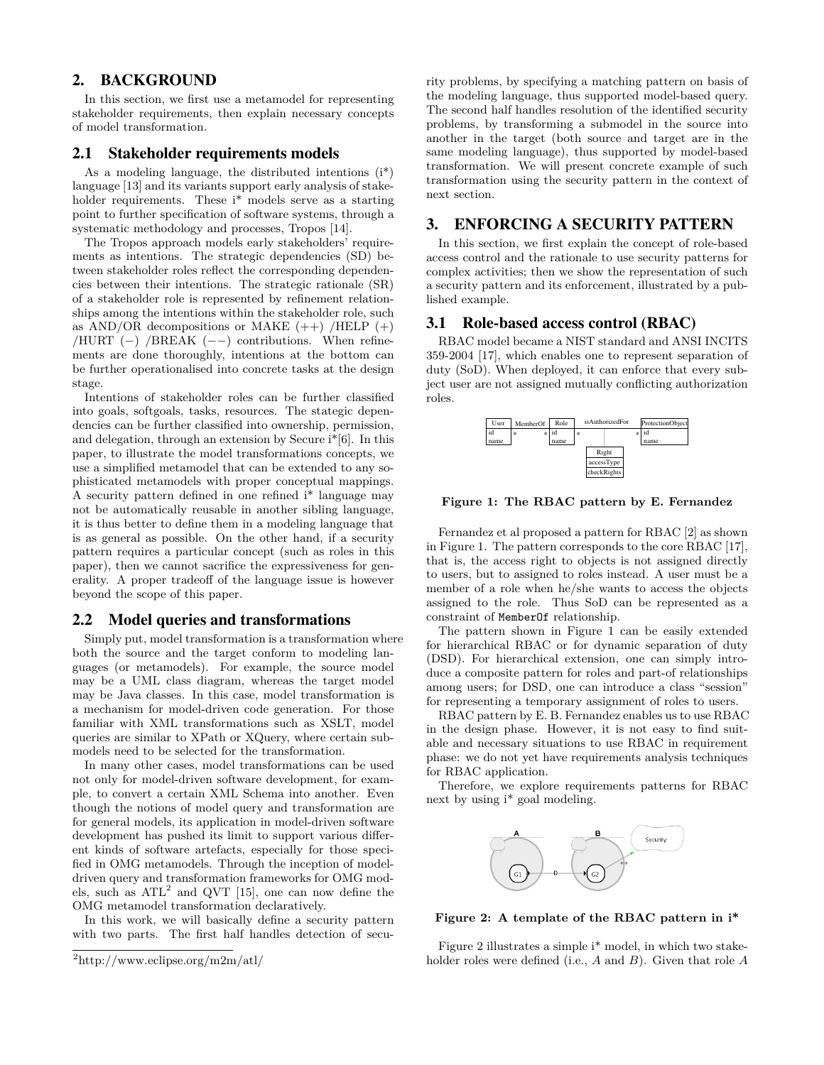# 2. BACKGROUND

In this section, we first use a metamodel for representing stakeholder requirements, then explain necessary concepts of model transformation.

# 2.1 Stakeholder requirements models

As a modeling language, the distributed intentions (i\*) language [13] and its variants support early analysis of stakeholder requirements. These i\* models serve as a starting point to further specification of software systems, through a systematic methodology and processes, Tropos [14].

The Tropos approach models early stakeholders' requirements as intentions. The strategic dependencies (SD) between stakeholder roles reflect the corresponding dependencies between their intentions. The strategic rationale (SR) of a stakeholder role is represented by refinement relationships among the intentions within the stakeholder role, such as  $AND/OR$  decompositions or MAKE  $(++)$  /HELP  $(+)$ /HURT (*−*) /BREAK (*−−*) contributions. When refinements are done thoroughly, intentions at the bottom can be further operationalised into concrete tasks at the design stage.

Intentions of stakeholder roles can be further classified into goals, softgoals, tasks, resources. The stategic dependencies can be further classified into ownership, permission, and delegation, through an extension by Secure i\*[6]. In this paper, to illustrate the model transformations concepts, we use a simplified metamodel that can be extended to any sophisticated metamodels with proper conceptual mappings. A security pattern defined in one refined i\* language may not be automatically reusable in another sibling language, it is thus better to define them in a modeling language that is as general as possible. On the other hand, if a security pattern requires a particular concept (such as roles in this paper), then we cannot sacrifice the expressiveness for generality. A proper tradeoff of the language issue is however beyond the scope of this paper.

## 2.2 Model queries and transformations

Simply put, model transformation is a transformation where both the source and the target conform to modeling languages (or metamodels). For example, the source model may be a UML class diagram, whereas the target model may be Java classes. In this case, model transformation is a mechanism for model-driven code generation. For those familiar with XML transformations such as XSLT, model queries are similar to XPath or XQuery, where certain submodels need to be selected for the transformation.

In many other cases, model transformations can be used not only for model-driven software development, for example, to convert a certain XML Schema into another. Even though the notions of model query and transformation are for general models, its application in model-driven software development has pushed its limit to support various different kinds of software artefacts, especially for those specified in OMG metamodels. Through the inception of modeldriven query and transformation frameworks for OMG models, such as  $ATL<sup>2</sup>$  and QVT [15], one can now define the OMG metamodel transformation declaratively.

In this work, we will basically define a security pattern with two parts. The first half handles detection of security problems, by specifying a matching pattern on basis of the modeling language, thus supported model-based query. The second half handles resolution of the identified security problems, by transforming a submodel in the source into another in the target (both source and target are in the same modeling language), thus supported by model-based transformation. We will present concrete example of such transformation using the security pattern in the context of next section.

# 3. ENFORCING A SECURITY PATTERN

In this section, we first explain the concept of role-based access control and the rationale to use security patterns for complex activities; then we show the representation of such a security pattern and its enforcement, illustrated by a published example.

# 3.1 Role-based access control (RBAC)

RBAC model became a NIST standard and ANSI INCITS 359-2004 [17], which enables one to represent separation of duty (SoD). When deployed, it can enforce that every subject user are not assigned mutually conflicting authorization roles.



**Figure 1: The RBAC pattern by E. Fernandez**

Fernandez et al proposed a pattern for RBAC [2] as shown in Figure 1. The pattern corresponds to the core RBAC [17], that is, the access right to objects is not assigned directly to users, but to assigned to roles instead. A user must be a member of a role when he/she wants to access the objects assigned to the role. Thus SoD can be represented as a constraint of MemberOf relationship.

The pattern shown in Figure 1 can be easily extended for hierarchical RBAC or for dynamic separation of duty (DSD). For hierarchical extension, one can simply introduce a composite pattern for roles and part-of relationships among users; for DSD, one can introduce a class "session" for representing a temporary assignment of roles to users.

RBAC pattern by E. B. Fernandez enables us to use RBAC in the design phase. However, it is not easy to find suitable and necessary situations to use RBAC in requirement phase: we do not yet have requirements analysis techniques for RBAC application.

Therefore, we explore requirements patterns for RBAC next by using i\* goal modeling.



**Figure 2: A template of the RBAC pattern in i\***

Figure 2 illustrates a simple i\* model, in which two stakeholder roles were defined (i.e., *A* and *B*). Given that role *A*

<sup>2</sup>http://www.eclipse.org/m2m/atl/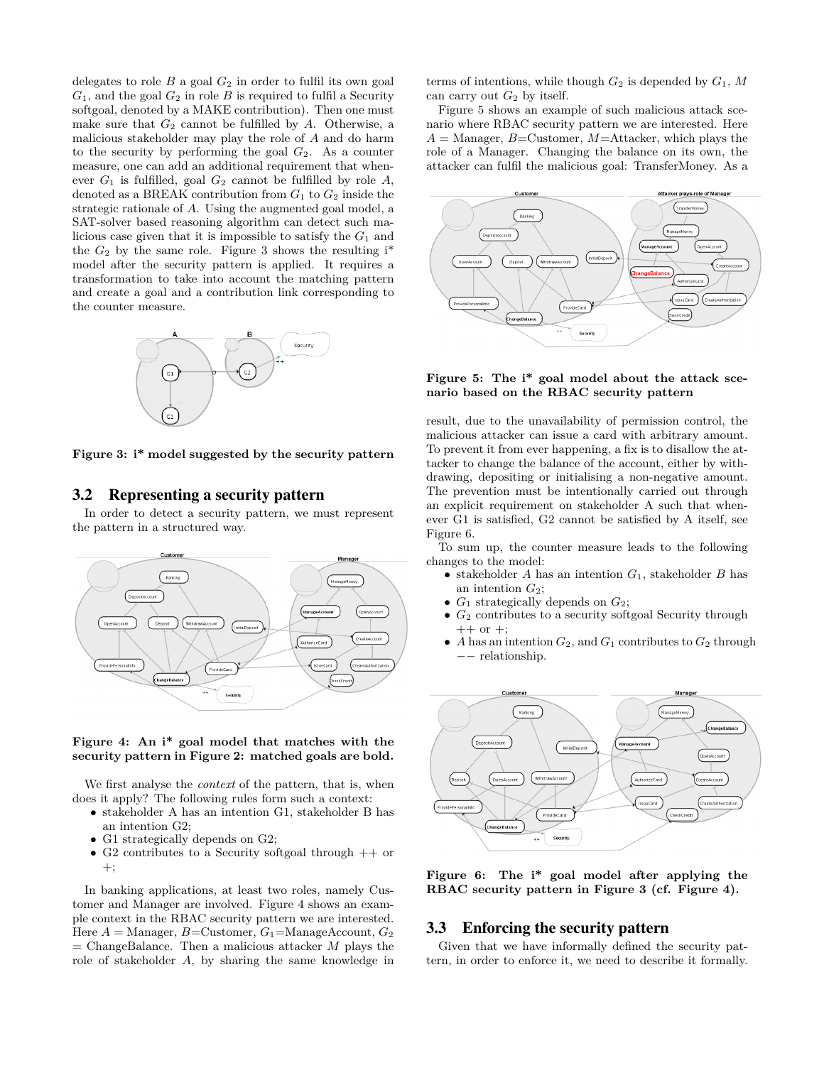delegates to role  $B$  a goal  $G_2$  in order to fulfil its own goal  $G_1$ , and the goal  $G_2$  in role  $B$  is required to fulfil a Security softgoal, denoted by a MAKE contribution). Then one must make sure that  $G_2$  cannot be fulfilled by  $A$ . Otherwise, a malicious stakeholder may play the role of *A* and do harm to the security by performing the goal  $G_2$ . As a counter measure, one can add an additional requirement that whenever  $G_1$  is fulfilled, goal  $G_2$  cannot be fulfilled by role  $A$ , denoted as a BREAK contribution from  $G_1$  to  $G_2$  inside the strategic rationale of *A*. Using the augmented goal model, a SAT-solver based reasoning algorithm can detect such malicious case given that it is impossible to satisfy the  $G_1$  and the  $G_2$  by the same role. Figure 3 shows the resulting  $i^*$ model after the security pattern is applied. It requires a transformation to take into account the matching pattern and create a goal and a contribution link corresponding to the counter measure.



**Figure 3: i\* model suggested by the security pattern**

# 3.2 Representing a security pattern

In order to detect a security pattern, we must represent the pattern in a structured way.



#### **Figure 4: An i\* goal model that matches with the security pattern in Figure 2: matched goals are bold.**

We first analyse the *context* of the pattern, that is, when does it apply? The following rules form such a context:

- *•* stakeholder A has an intention G1, stakeholder B has an intention G2;
- G1 strategically depends on G2;
- G2 contributes to a Security softgoal through  $++$  or  $+$ :

In banking applications, at least two roles, namely Customer and Manager are involved. Figure 4 shows an example context in the RBAC security pattern we are interested. Here  $A =$  Manager,  $B =$ Customer,  $G_1 =$ ManageAccount,  $G_2$  $=$  ChangeBalance. Then a malicious attacker *M* plays the role of stakeholder *A*, by sharing the same knowledge in

terms of intentions, while though  $G_2$  is depended by  $G_1$ ,  $M$ can carry out  $G_2$  by itself.

Figure 5 shows an example of such malicious attack scenario where RBAC security pattern we are interested. Here  $A =$ Manager,  $B =$ Customer,  $M =$ Attacker, which plays the role of a Manager. Changing the balance on its own, the attacker can fulfil the malicious goal: TransferMoney. As a



#### **Figure 5: The i\* goal model about the attack scenario based on the RBAC security pattern**

result, due to the unavailability of permission control, the malicious attacker can issue a card with arbitrary amount. To prevent it from ever happening, a fix is to disallow the attacker to change the balance of the account, either by withdrawing, depositing or initialising a non-negative amount. The prevention must be intentionally carried out through an explicit requirement on stakeholder A such that whenever G1 is satisfied, G2 cannot be satisfied by A itself, see Figure 6.

To sum up, the counter measure leads to the following changes to the model:

- *•* stakeholder *A* has an intention *G*1, stakeholder *B* has an intention *G*2;
- $G_1$  strategically depends on  $G_2$ ;
- $G_2$  contributes to a security softgoal Security through  $++$  or  $+$ ;
- *A* has an intention  $G_2$ , and  $G_1$  contributes to  $G_2$  through *−−* relationship.



**Figure 6: The i\* goal model after applying the RBAC security pattern in Figure 3 (cf. Figure 4).**

# 3.3 Enforcing the security pattern

Given that we have informally defined the security pattern, in order to enforce it, we need to describe it formally.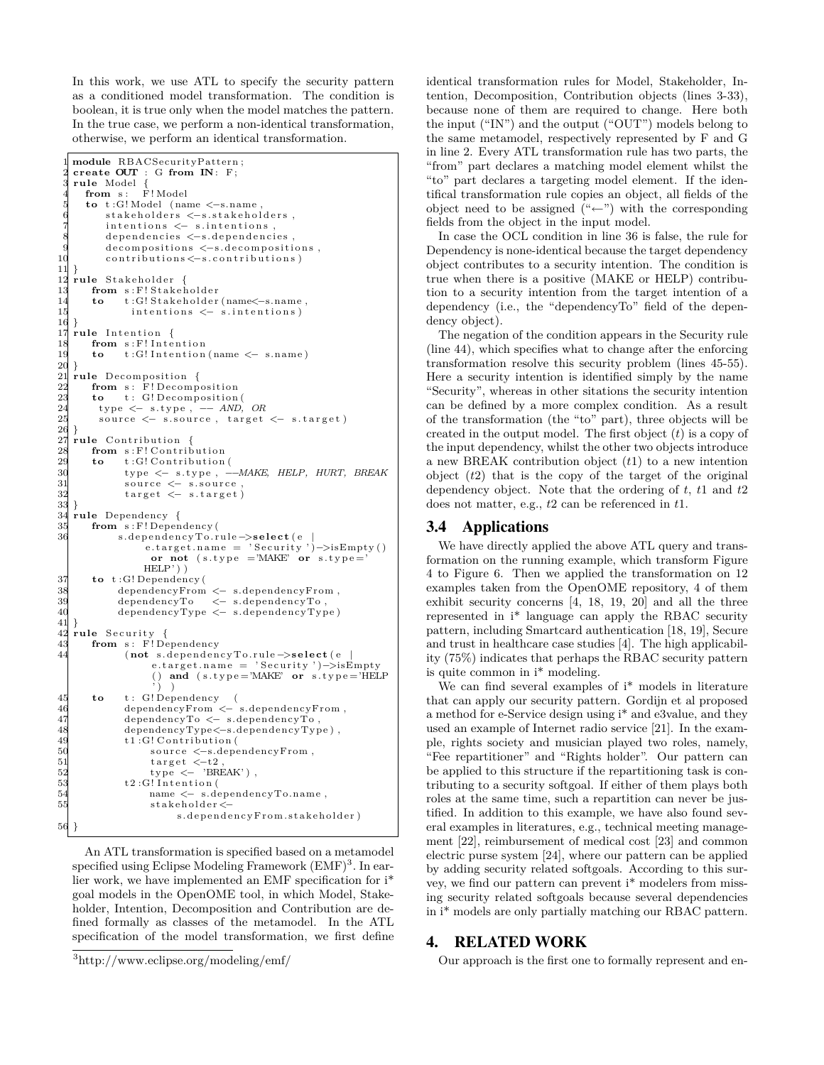In this work, we use ATL to specify the security pattern as a conditioned model transformation. The condition is boolean, it is true only when the model matches the pattern. In the true case, we perform a non-identical transformation, otherwise, we perform an identical transformation.

```
\text{module } RBACSecurityPattern;2 create OUT : G from IN: F ;
    rule Model {<br>from s: F!Model
       from s:
       5 to t :G! Model ( name <−s .name ,
             stakeholders <−s.stakeholders,
            intentions \leq s. intentions
             dependencies < -s. dependencies
9 decompositions <−s.decompositions,<br>10 contributions <−s.contributions)
             contributions < - s. contributions)
\begin{matrix} 11 \\ 12 \end{matrix}12 rule Stakeholder {<br>13 from s:F!Stakeh
13 from s: F! Stakeholder<br>14 to t: G! Stakeholder
14 to t:G! Stakeholder (name < − s.name,<br>15 intentions < – s.intentions)
    15 intentions \leq − s.intentions )
16 }
17 rule Intention {
18 from s: F! Intention<br>19 to t: G! Intention
         to t:G! Intention (name \leq− s.name)
\begin{matrix} 20 \\ 21 \end{matrix} r
21 rule Decomposition {<br>22 from s: F!Decomp
22 from s: F! Decomposition<br>23 to t: G! Decomposition
23 to t: G! Decomposition (<br>24 type \leftarrow s.type, \leftarrow AND,
24 type < s. type, − AND, OR<br>25 source < s. source, target
           source \leq -s.\overline{source}, target \leq -s.\overline{target}\begin{array}{c} 26 \\ 27 \end{array}r
27 rule Contribution {<br>28 from s: F! Contrib
28 from s: F! Contribution<br>29 to t: G! Contribution
29 to t : G! Contribution (<br>30 type \leftarrow s.type, -30 typ e <− s . t y p e , −−MAKE, HELP, HURT, BREAK
31 source <− s.source,<br>32 target <- s.target)
                  target < s . target )
\frac{33}{34}34 rule Dependency {<br>35 from s:F!Depen
35 from s: F! Dependency (<br>36 s. dependency To. r
                s . dependencyTo.rule ->select (e |
                       e.target.name = 'Security')->isEmpty()
                         or not (s.type = 'MAKE' or s.type = 'HELP') )
37 to t:G! Dependency (38 dependency From<br>39 dependency To
                38 dependencyFrom <− s .dependencyFrom ,
39 dependencyTo < s dependencyTo , and dependencyTo , and dependencyTo , and dependencyTo , and dependencyTo , and a series of \sim s dependencyTo , and a series of \sim s dependencyTo , and a series of \sim s dependencyT
                dependencyType <- s.dependencyType)
\begin{array}{c} 41 \\ 42 \end{array}42 rule Security {<br>43 from s: F!De<br>44 (not s.e.
         from s: F! Dependency
                  (not s .dependencyTo.rule –>select (e
                         e. target.name = 'Security')–>isEmpty
                         () and (s.type='MAKE' or s.type='HELP')\begin{pmatrix} \cdot \\ \cdot \\ \cdot \\ \cdot \end{pmatrix} ) )
45 to t : G! Dependency (
46 dependencyFrom <− s .dependencyFrom ,
47 dependencyTo <− s.dependencyTo<sub>,</sub><br>48 dependencyType<−s.dependencyTyp<br>49 t1:G!Contribution (
                  dependencyType<-s.dependencyType),
49 t1:G! Contribution (<br>source \langle -s. dep
50 source <-s.dependencyFrom ,<br>51 target <-t2,<br>52 type <- 'BREAK'),
51 t a r g e t <−t2,<br>
52 type <− 'BREAK'),
t2:G! Intention (<br>
t2:G! Intention (<br>
t2:G! Intention (
54 name <− s .dependencyTo .name ,
                         stakeholder<-
                                s.dependencyFrom.stakeholder)56
```
An ATL transformation is specified based on a metamodel specified using Eclipse Modeling Framework (EMF)<sup>3</sup>. In earlier work, we have implemented an EMF specification for i\* goal models in the OpenOME tool, in which Model, Stakeholder, Intention, Decomposition and Contribution are defined formally as classes of the metamodel. In the ATL specification of the model transformation, we first define identical transformation rules for Model, Stakeholder, Intention, Decomposition, Contribution objects (lines 3-33), because none of them are required to change. Here both the input ("IN") and the output ("OUT") models belong to the same metamodel, respectively represented by F and G in line 2. Every ATL transformation rule has two parts, the "from" part declares a matching model element whilst the "to" part declares a targeting model element. If the identifical transformation rule copies an object, all fields of the object need to be assigned ("*←*") with the corresponding fields from the object in the input model.

In case the OCL condition in line 36 is false, the rule for Dependency is none-identical because the target dependency object contributes to a security intention. The condition is true when there is a positive (MAKE or HELP) contribution to a security intention from the target intention of a dependency (i.e., the "dependencyTo" field of the dependency object).

The negation of the condition appears in the Security rule (line 44), which specifies what to change after the enforcing transformation resolve this security problem (lines 45-55). Here a security intention is identified simply by the name "Security", whereas in other sitations the security intention can be defined by a more complex condition. As a result of the transformation (the "to" part), three objects will be created in the output model. The first object (*t*) is a copy of the input dependency, whilst the other two objects introduce a new BREAK contribution object (*t*1) to a new intention object (*t*2) that is the copy of the target of the original dependency object. Note that the ordering of *t*, *t*1 and *t*2 does not matter, e.g., *t*2 can be referenced in *t*1.

#### 3.4 Applications

We have directly applied the above ATL query and transformation on the running example, which transform Figure 4 to Figure 6. Then we applied the transformation on 12 examples taken from the OpenOME repository, 4 of them exhibit security concerns [4, 18, 19, 20] and all the three represented in i\* language can apply the RBAC security pattern, including Smartcard authentication [18, 19], Secure and trust in healthcare case studies [4]. The high applicability (75%) indicates that perhaps the RBAC security pattern is quite common in i\* modeling.

We can find several examples of  $\ensuremath{\mathrm{i}}^*$  models in literature that can apply our security pattern. Gordijn et al proposed a method for e-Service design using i\* and e3value, and they used an example of Internet radio service [21]. In the example, rights society and musician played two roles, namely, "Fee repartitioner" and "Rights holder". Our pattern can be applied to this structure if the repartitioning task is contributing to a security softgoal. If either of them plays both roles at the same time, such a repartition can never be justified. In addition to this example, we have also found several examples in literatures, e.g., technical meeting management [22], reimbursement of medical cost [23] and common electric purse system [24], where our pattern can be applied by adding security related softgoals. According to this survey, we find our pattern can prevent i\* modelers from missing security related softgoals because several dependencies in i\* models are only partially matching our RBAC pattern.

# 4. RELATED WORK

Our approach is the first one to formally represent and en-

<sup>3</sup>http://www.eclipse.org/modeling/emf/